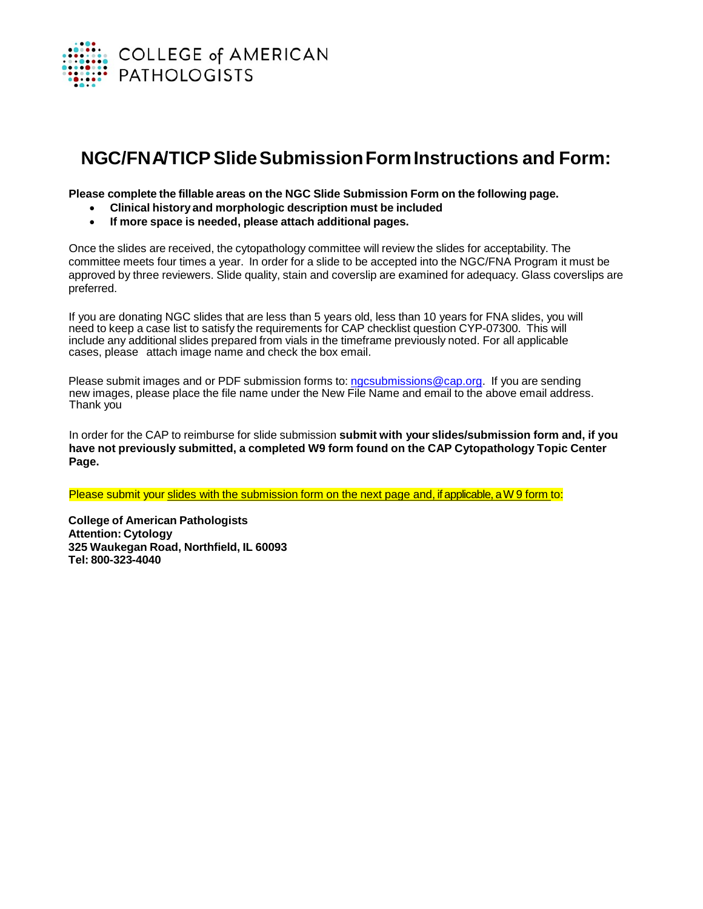

## **NGC/FNA/TICPSlideSubmissionFormInstructions and Form:**

**Please complete the fillable areas on the NGC Slide Submission Form on the following page.**

- **Clinical history and morphologic description must be included**
- **If more space is needed, please attach additional pages.**

Once the slides are received, the cytopathology committee will review the slides for acceptability. The committee meets four times a year. In order for a slide to be accepted into the NGC/FNA Program it must be approved by three reviewers. Slide quality, stain and coverslip are examined for adequacy. Glass coverslips are preferred.

If you are donating NGC slides that are less than 5 years old, less than 10 years for FNA slides, you will need to keep a case list to satisfy the requirements for CAP checklist question CYP-07300. This will include any additional slides prepared from vials in the timeframe previously noted. For all applicable cases, please attach image name and check the box email.

Please submit images and or PDF submission forms to: [ngcsubmissions@cap.org.](mailto:ngcsubmissions@cap.org) If you are sending new images, please place the file name under the New File Name and email to the above email address. Thank you

In order for the CAP to reimburse for slide submission **submit with your slides/submission form and, if you have not previously submitted, a completed W9 form found on the CAP Cytopathology Topic Center Page.**

Please submit your slides with the submission form on the next page and, if applicable, a W 9 form to:

**College of American Pathologists Attention: Cytology 325 Waukegan Road, Northfield, IL 60093 Tel: 800-323-4040**